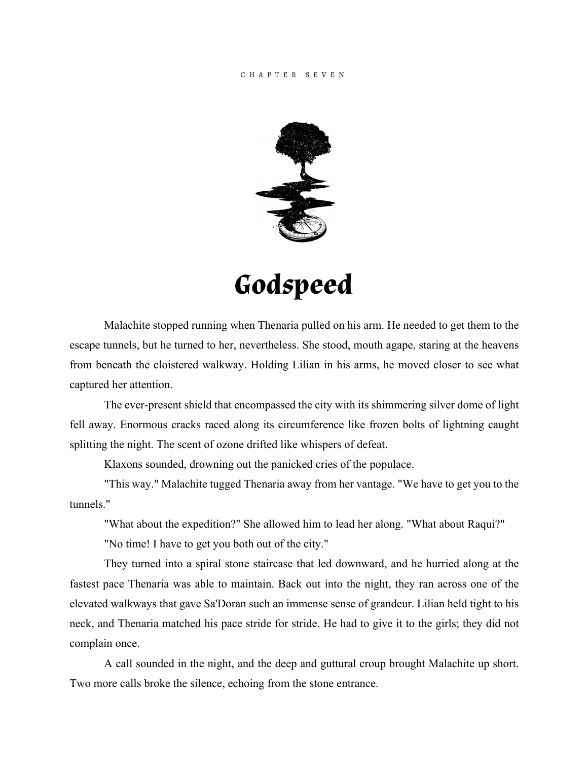## CHAPTER S E VEN



## **Godspeed**

Malachite stopped running when Thenaria pulled on his arm. He needed to get them to the escape tunnels, but he turned to her, nevertheless. She stood, mouth agape, staring at the heavens from beneath the cloistered walkway. Holding Lilian in his arms, he moved closer to see what captured her attention.

The ever-present shield that encompassed the city with its shimmering silver dome of light fell away. Enormous cracks raced along its circumference like frozen bolts of lightning caught splitting the night. The scent of ozone drifted like whispers of defeat.

Klaxons sounded, drowning out the panicked cries of the populace.

"This way." Malachite tugged Thenaria away from her vantage. "We have to get you to the tunnels."

"What about the expedition?" She allowed him to lead her along. "What about Raqui?"

"No time! I have to get you both out of the city."

They turned into a spiral stone staircase that led downward, and he hurried along at the fastest pace Thenaria was able to maintain. Back out into the night, they ran across one of the elevated walkways that gave Sa'Doran such an immense sense of grandeur. Lilian held tight to his neck, and Thenaria matched his pace stride for stride. He had to give it to the girls; they did not complain once.

A call sounded in the night, and the deep and guttural croup brought Malachite up short. Two more calls broke the silence, echoing from the stone entrance.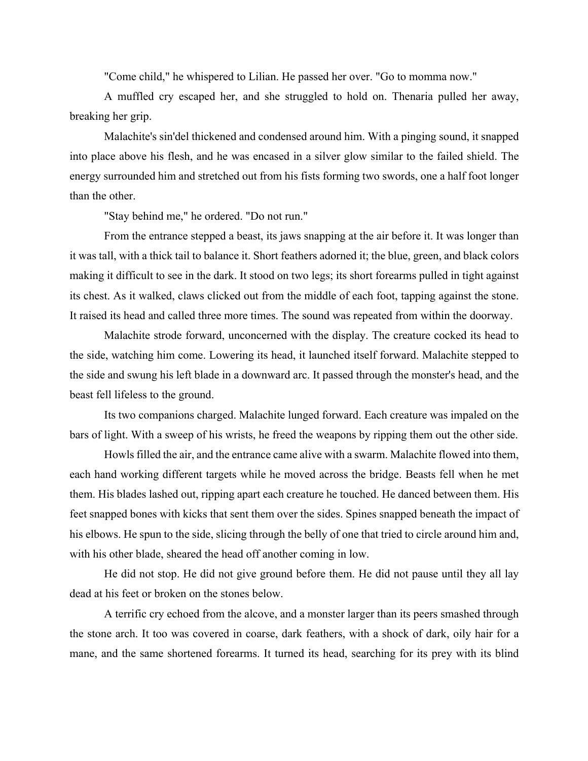"Come child," he whispered to Lilian. He passed her over. "Go to momma now."

A muffled cry escaped her, and she struggled to hold on. Thenaria pulled her away, breaking her grip.

Malachite's sin'del thickened and condensed around him. With a pinging sound, it snapped into place above his flesh, and he was encased in a silver glow similar to the failed shield. The energy surrounded him and stretched out from his fists forming two swords, one a half foot longer than the other.

"Stay behind me," he ordered. "Do not run."

From the entrance stepped a beast, its jaws snapping at the air before it. It was longer than it was tall, with a thick tail to balance it. Short feathers adorned it; the blue, green, and black colors making it difficult to see in the dark. It stood on two legs; its short forearms pulled in tight against its chest. As it walked, claws clicked out from the middle of each foot, tapping against the stone. It raised its head and called three more times. The sound was repeated from within the doorway.

Malachite strode forward, unconcerned with the display. The creature cocked its head to the side, watching him come. Lowering its head, it launched itself forward. Malachite stepped to the side and swung his left blade in a downward arc. It passed through the monster's head, and the beast fell lifeless to the ground.

Its two companions charged. Malachite lunged forward. Each creature was impaled on the bars of light. With a sweep of his wrists, he freed the weapons by ripping them out the other side.

Howls filled the air, and the entrance came alive with a swarm. Malachite flowed into them, each hand working different targets while he moved across the bridge. Beasts fell when he met them. His blades lashed out, ripping apart each creature he touched. He danced between them. His feet snapped bones with kicks that sent them over the sides. Spines snapped beneath the impact of his elbows. He spun to the side, slicing through the belly of one that tried to circle around him and, with his other blade, sheared the head off another coming in low.

He did not stop. He did not give ground before them. He did not pause until they all lay dead at his feet or broken on the stones below.

A terrific cry echoed from the alcove, and a monster larger than its peers smashed through the stone arch. It too was covered in coarse, dark feathers, with a shock of dark, oily hair for a mane, and the same shortened forearms. It turned its head, searching for its prey with its blind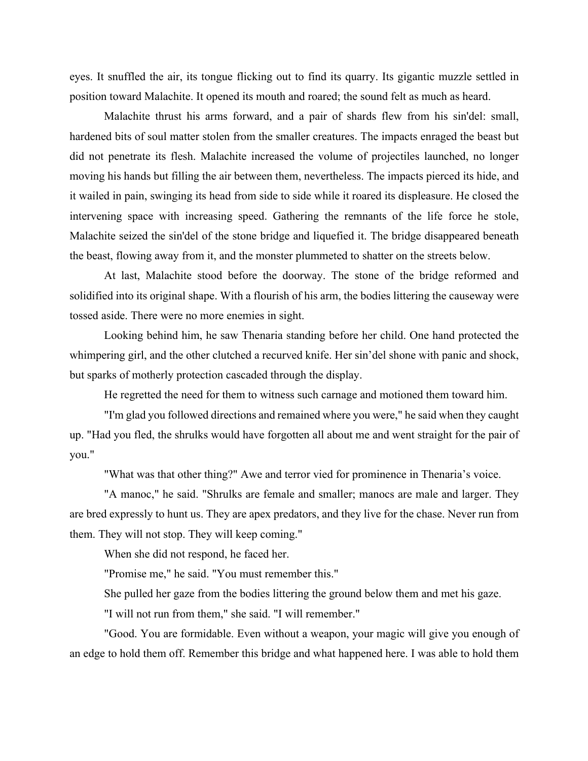eyes. It snuffled the air, its tongue flicking out to find its quarry. Its gigantic muzzle settled in position toward Malachite. It opened its mouth and roared; the sound felt as much as heard.

Malachite thrust his arms forward, and a pair of shards flew from his sin'del: small, hardened bits of soul matter stolen from the smaller creatures. The impacts enraged the beast but did not penetrate its flesh. Malachite increased the volume of projectiles launched, no longer moving his hands but filling the air between them, nevertheless. The impacts pierced its hide, and it wailed in pain, swinging its head from side to side while it roared its displeasure. He closed the intervening space with increasing speed. Gathering the remnants of the life force he stole, Malachite seized the sin'del of the stone bridge and liquefied it. The bridge disappeared beneath the beast, flowing away from it, and the monster plummeted to shatter on the streets below.

At last, Malachite stood before the doorway. The stone of the bridge reformed and solidified into its original shape. With a flourish of his arm, the bodies littering the causeway were tossed aside. There were no more enemies in sight.

Looking behind him, he saw Thenaria standing before her child. One hand protected the whimpering girl, and the other clutched a recurved knife. Her sin'del shone with panic and shock, but sparks of motherly protection cascaded through the display.

He regretted the need for them to witness such carnage and motioned them toward him.

"I'm glad you followed directions and remained where you were," he said when they caught up. "Had you fled, the shrulks would have forgotten all about me and went straight for the pair of you."

"What was that other thing?" Awe and terror vied for prominence in Thenaria's voice.

"A manoc," he said. "Shrulks are female and smaller; manocs are male and larger. They are bred expressly to hunt us. They are apex predators, and they live for the chase. Never run from them. They will not stop. They will keep coming."

When she did not respond, he faced her.

"Promise me," he said. "You must remember this."

She pulled her gaze from the bodies littering the ground below them and met his gaze.

"I will not run from them," she said. "I will remember."

"Good. You are formidable. Even without a weapon, your magic will give you enough of an edge to hold them off. Remember this bridge and what happened here. I was able to hold them